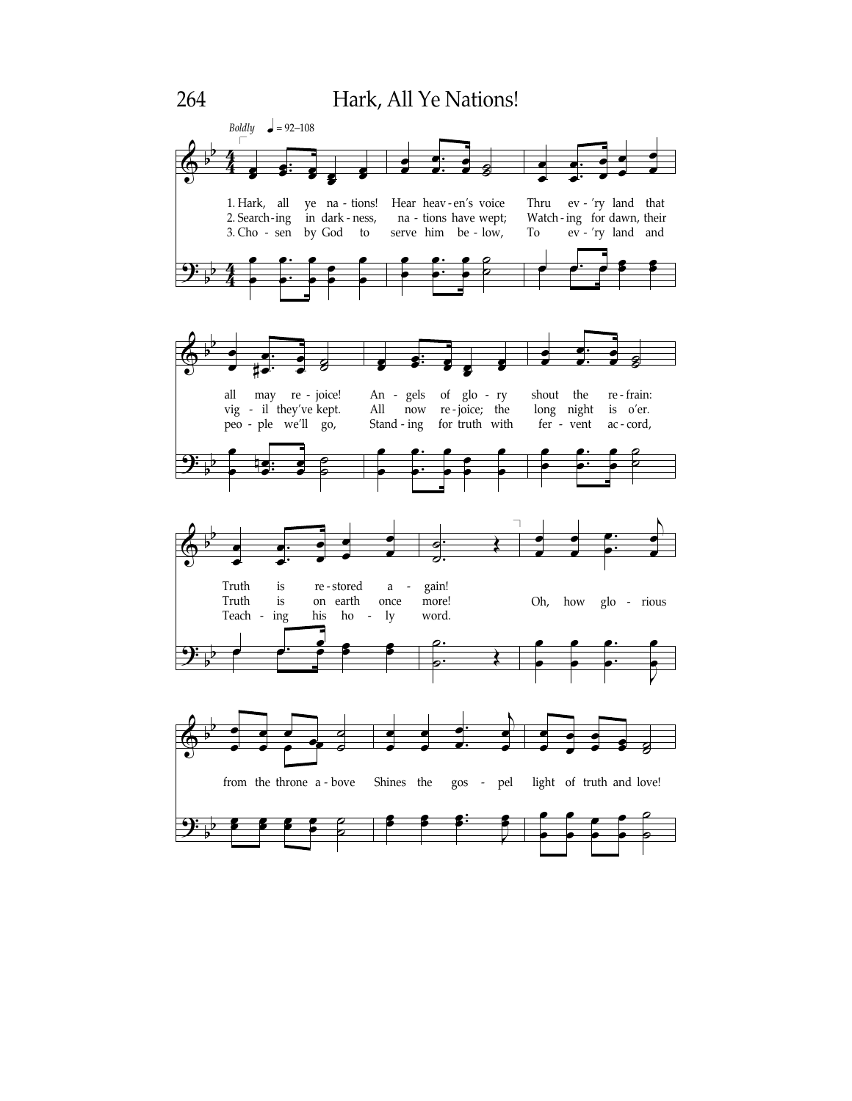